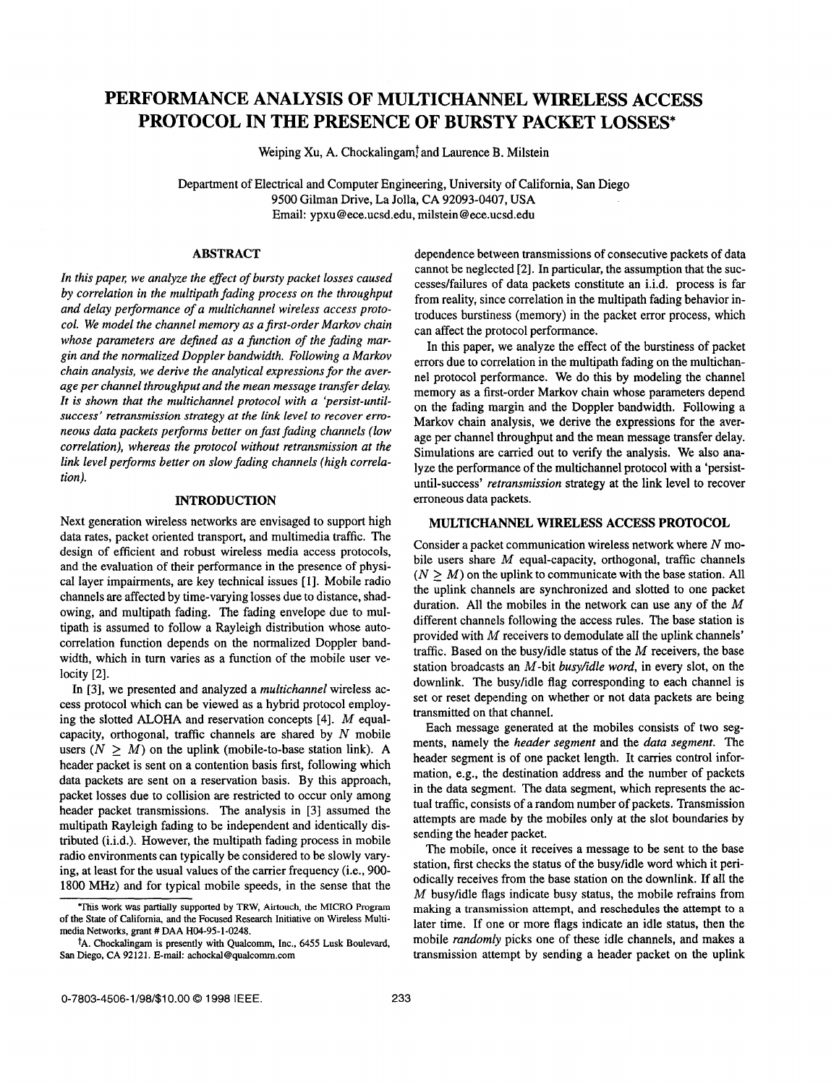# **PERFORMANCE ANALYSIS OF MULTICHANNEL WIRELESS ACCESS PROTOCOL IN THE PRESENCE OF BURSTY PACKET LOSSES\***

Weiping Xu, A. Chockalingamf and Laurence **B.** Milstein

Department of Electrical and Computer Engineering, University of California, San Diego 9500 Gilman Drive, La Jolla, CA 92093-0407, USA Email: [ypxu@ece.ucsd.edu](mailto:ypxu@ece.ucsd.edu), milstein [@ece.ucsd.edu](mailto:ece.ucsd.edu)

#### **ABSTRACT**

In this paper, we analyze the effect of bursty packet losses caused *by correlation in the multipath fading process on the throughput and delay performance of a multichannel wireless access protocol. We model the channel memory as a first-order Markov chain whose parameters are defined as a function of the fading margin and the normalized Doppler bandwidth. Following a Markov chain analysis, we derive the analytical expressions for the average per channel throughput and the mean message transfer delay. It is shown that the multichannel protocol with a 'persist-untilsuccess' retransmission strategy at the Link level to recover erroneous data packets pe@orms better on fast fading channels (low correlation), whereas the protocol without retransmission at the link level performs better on slow fading channels (high correlation).* 

## **INTRODUCTION**

Next generation wireless networks are envisaged to support high data rates, packet oriented transport, and multimedia traffic. The design of efficient and robust wireless media access protocols, and the evaluation of their performance in the presence of physical layer impairments, are key technical issues [I]. Mobile radio channels are affected by time-varying losses due to distance, shadowing, and multipath fading. The fading envelope due to multipath is assumed to follow a Rayleigh distribution whose autocorrelation function depends on the normalized Doppler bandwidth, which in turn varies as a function of the mobile user velocity [2].

In [3], we presented and analyzed a *multichannel* wireless access protocol which can be viewed as a hybrid protocol employing the slotted ALOHA and reservation concepts [4]. M equalcapacity, orthogonal, traffic channels are shared by  $N$  mobile users  $(N > M)$  on the uplink (mobile-to-base station link). A header packet is sent on a contention basis first, following which data packets are sent on a reservation basis. By this approach, packet losses due to collision are restricted to occur only among header packet transmissions. The analysis in [3] assumed the multipath Rayleigh fading to be independent and identically distributed (i.i.d.). However, the multipath fading process in mobile radio environments can typically be considered to be slowly varying, at least for the usual values of the carrier frequency (i.e., 900- 1800 MHz) and for typical mobile speeds, in the sense that the dependence between transmissions of consecutive packets of data cannot be neglected [2]. In particular, the assumption that the successes/failures of data packets constitute an i.i.d. process is far from reality, since correlation in the multipath fading behavior introduces burstiness (memory) in the packet error process, which can affect the protocol performance.

In this paper, we analyze the effect of the burstiness of packet errors due to correlation in the multipath fading on the multichannel protocol performance. We do this by modeling the channel memory as a first-order Markov chain whose parameters depend on the fading margin and the Doppler bandwidth. Following a Markov chain analysis, we derive the expressions for the average per channel throughput and the mean message transfer delay. Simulations are carried out to verify the analysis. We also analyze the performance of the multichannel protocol with a 'persistuntil-success' *retransmission* strategy at the link level to recover erroneous data packets.

## **MULTICHANNEL WIRELESS ACCESS PROTOCOL**

Consider a packet communication wireless network where N mobile users share  $M$  equal-capacity, orthogonal, traffic channels  $(N > M)$  on the uplink to communicate with the base station. All the uplink channels are synchronized and slotted to one packet duration. All the mobiles in the network can use any of the  $M$ different channels following the access rules. The base station is provided with *hi* receivers to demodulate all the uplink channels' traffic. Based on the busyhdle status of the *M* receivers, the base station broadcasts an M-bit *busy/idle word,* in every slot, on the downlink. The busy/idle flag corresponding to each channel is set or reset depending on whether or not data packets are being transmitted on that channel.

Each message generated at the mobiles consists of two segments, namely the *header segment* and the *data segment.* The header segment is of one packet length. It carries control information, e.g., the destination address and the number of packets in the data segment. The data segment, which represents the actual traffic, consists of a random number of packets. Transmission attempts are made by the mobiles only at the slot boundaries by sending the header packet.

The mobile, once it receives a message to be sent to the base station, first checks the status of the busyhdle word which it periodically receives from the base station on the downlink. If all the M busy/idle flags indicate busy status, the mobile refrains from making a transmission attempt, and reschedules the attempt to a later time. If one or more flags indicate an idle status, then the mobile *randomly* picks one of these idle channels, and makes a transmission attempt by sending a header packet on the uplink

**This work was partially supported by TRW, Airtouch, the MICRO Program of the State of California, and the Focused Research Initiative on Wireless Multimedia Networks, grant** # **DAA H04-95-1-0248.** 

**tA. Chockalingam is presently with Qualcomm, Inc.,** *6455* **Lusk Boulevard, San Diego, CA 92121. E-mail: [achockal@qualcomm.com](mailto:achockal@qualcomm.com)**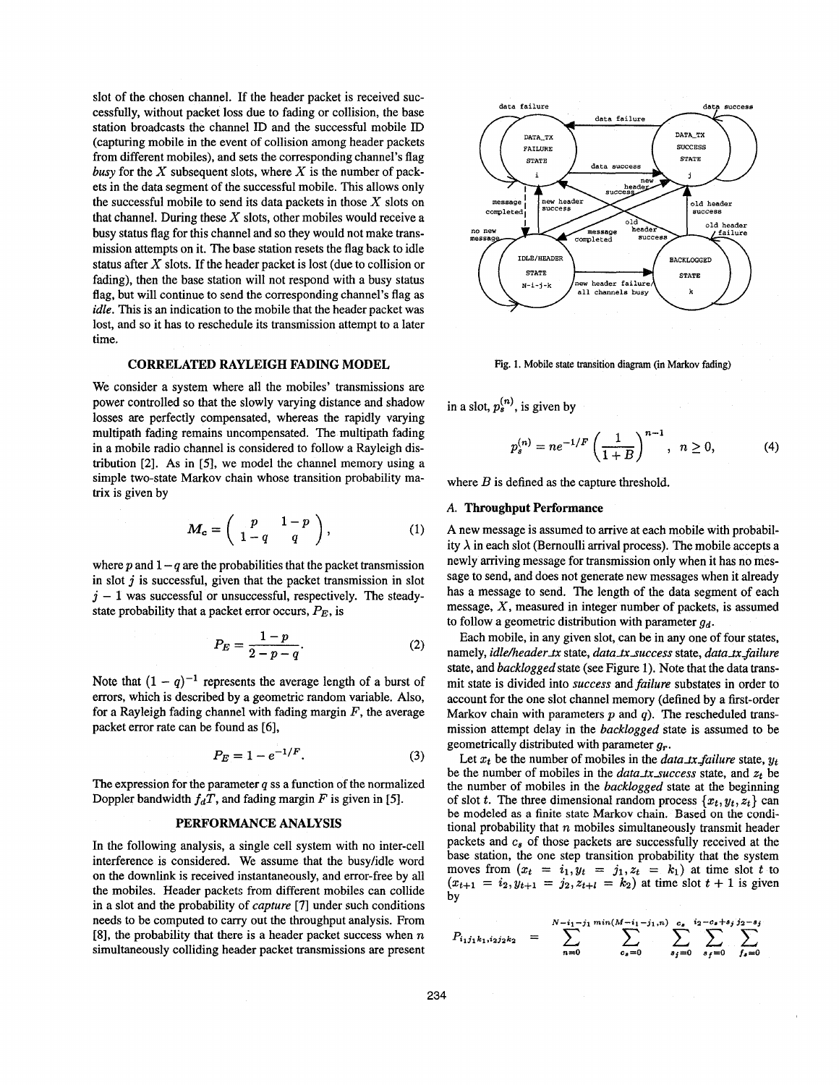slot of the chosen channel. If the header packet is received successfully, without packet loss due to fading or collision, the base station broadcasts the channel ID and the successful mobile ID (capturing mobile in the event of collision among header packets from different mobiles), and sets the corresponding channel's flag *busy* for the  $X$  subsequent slots, where  $X$  is the number of packets in the data segment of the successful mobile. This allows only the successful mobile to send its data packets in those  $X$  slots on that channel. During these  $X$  slots, other mobiles would receive a busy status flag for this channel and so they would not make transmission attempts on it. The base station resets the flag back to idle status after X slots. If the header packet is lost (due to collision or fading), then the base station will not respond with a busy status flag, but will continue to send the corresponding channel's flag as *idle.* This is an indication to the mobile that the header packet was lost, and so it has to reschedule its transmission attempt to a later time.

#### **CORRELATED RAYLEIGH FADING MODEL**

We consider a system where all the mobiles' transmissions are power controlled so that the slowly varying distance and shadow losses are perfectly compensated, whereas the rapidly varying multipath fading remains uncompensated. The multipath fading in a mobile radio channel is considered to follow a Rayleigh distribution [2]. As in *[5],* we model the channel memory using a simple two-state Markov chain whose transition probability matrix is given by

$$
M_c = \left(\begin{array}{cc} p & 1-p \\ 1-q & q \end{array}\right), \tag{1}
$$

where  $p$  and  $1 - q$  are the probabilities that the packet transmission in slot *j* is successful, given that the packet transmission in slot  $j - 1$  was successful or unsuccessful, respectively. The steadystate probability that a packet error occurs,  $P_E$ , is

$$
P_E = \frac{1-p}{2-p-q}.\tag{2}
$$

Note that  $(1 - q)^{-1}$  represents the average length of a burst of errors, which is described by a geometric random variable. Also, for a Rayleigh fading channel with fading margin *F,* the average packet error rate can be found as *[6],* 

$$
P_E = 1 - e^{-1/F}.
$$
 (3)

The expression for the parameter *q* **ss** a function of the normalized Doppler bandwidth  $f_dT$ , and fading margin *F* is given in [5].

#### **PERFORMANCE ANALYSIS**

In the following analysis, a single cell system with no inter-cell interference is considered. We assume that the busyhdle word on the downlink is received instantaneously, and error-free by all the mobiles. Header packets from different mobiles can collide in a slot and the probability of *capture* **[7]** under such conditions needs to be computed to carry out the throughput analysis. From **[8],** the probability that there is a header packet success when *n*  simultaneously colliding header packet transmissions are present



Fig. **1.** Mobile state **transition** diagram (in Markov **fading)** 

in a slot,  $p_s^{(n)}$ , is given by

$$
p_s^{(n)} = n e^{-1/F} \left(\frac{1}{1+B}\right)^{n-1}, \quad n \ge 0,
$$
 (4)

where *B* is defined as the capture threshold.

#### **A. Throughput Performance**

A new message is assumed to arrive at each mobile with probability  $\lambda$  in each slot (Bernoulli arrival process). The mobile accepts a newly arriving message for transmission only when it has no message to send, and does not generate new messages when it already has a message to send. The length of the data segment of each message, X, measured in integer number of packets, is assumed to follow a geometric distribution with parameter *gd.* 

Each mobile, in any given slot, can be in any one of four states, namely, *idle/header\_tx* state, *data\_tx\_success* state, *data\_tx\_failure* state, and *backlogged* state (see Figure 1). Note that the data transmit state is divided into *success* and *failure* substates in order to account for the one slot channel memory (defined by a first-order Markov chain with parameters **p** and *q).* The rescheduled transmission attempt delay in the *backlogged* state is assumed to be geometrically distributed with parameter *g,..* 

Let  $x_t$  be the number of mobiles in the *data\_tx\_failure* state,  $y_t$ be the number of mobiles in the *data\_tx\_success* state, and  $z_t$  be the number of mobiles in the *backlogged* state at the beginning of slot *t*. The three dimensional random process  $\{x_t, y_t, z_t\}$  can be modeled as **a** finite state Markov chain. Based on the conditional probability that *n* mobiles simultaneously transmit header packets and  $c_s$  of those packets are successfully received at the base station, the one step transition probability that the system moves from  $(x_t = i_1, y_t = j_1, z_t = k_1)$  at time slot *t* to  $(x_{t+1} = i_2, y_{t+1} = j_2, z_{t+1} = k_2)$  at time slot  $t + 1$  is given by

$$
P_{i_1j_1k_1,i_2j_2k_2} = \sum_{n=0}^{N-i_1-j_1} \sum_{c_s=0}^{\min(M-i_1-j_1,n)} \sum_{s_j=0}^{c_s} \sum_{s_j=0}^{i_2-c_s+s_j} \sum_{f_s=0}^{j_2-s_j}
$$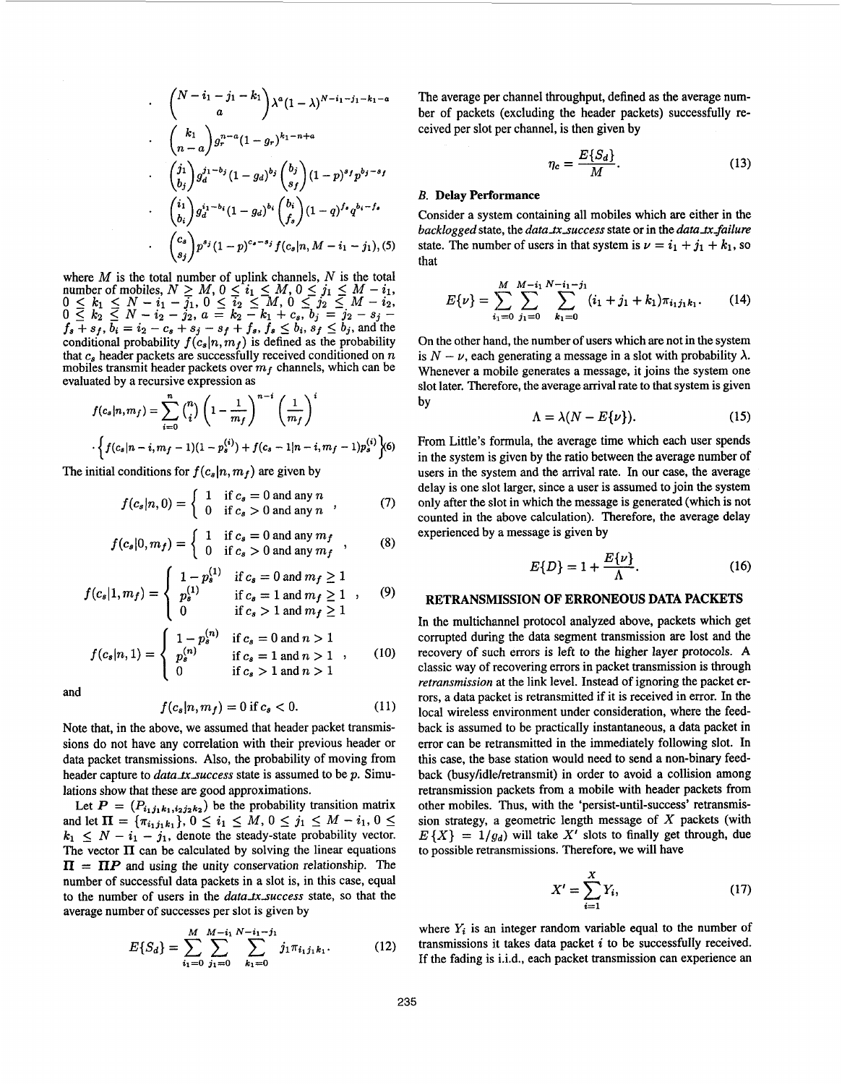$$
\begin{aligned}\n&\quad & \binom{N-i_{1}-j_{1}-k_{1}}{a}\lambda^{a}(1-\lambda)^{N-i_{1}-j_{1}-k_{1}-a} \\
&\quad & \binom{k_{1}}{n-a}g_{r}^{n-a}(1-g_{r})^{k_{1}-n+a} \\
&\quad & \cdot \binom{j_{1}}{b_{j}}g_{d}^{j_{1}-b_{j}}(1-g_{d})^{b_{j}}\binom{b_{j}}{s_{f}}(1-p)^{s_{f}}p^{b_{j}-s_{f}} \\
&\quad & \cdot \binom{i_{1}}{b_{i}}g_{d}^{i_{1}-b_{i}}(1-g_{d})^{b_{i}}\binom{b_{i}}{f_{s}}(1-q)^{f_{s}}q^{b_{i}-f_{s}} \\
&\quad & \cdot \binom{c_{s}}{s_{j}}p^{s_{j}}(1-p)^{c_{s}-s_{j}}f(c_{s}|n, M-i_{1}-j_{1}),\n\end{aligned}
$$

where  $M$  is the total number of uplink channels,  $N$  is the total where *M* is the total number of uplink channels, *N* is the total number of mobiles,  $N \ge M$ ,  $0 \le i_1 \le M$ ,  $0 \le j_1 \le M - i_1$ ,  $0 \leq k_1 \leq N - i_1 - \overline{j_1}, 0 \leq \overline{i_2} \leq M, 0 \leq \overline{j_2} \leq M - i_2,$ <br>  $0 \leq k_2 \leq N - i_2 - j_2, a = k_2 - k_1 + c_s, b_j = j_2 - s_j - 1$  $\begin{array}{l} 0 \leq k_2 \leq N - i_2 - j_2, a = k_2 - k_1 + c_s, b_j = j_2 - s_j - f_s + s_f, b_i = i_2 - c_s + s_j - s_f + f_s, f_s \leq b_i, s_f \leq b_j, \text{ and the conditional probability } f(c_s | n, m_f) \text{ is defined as the probability} \end{array}$ that  $c_s$  header packets are successfully received conditioned on  $n$ mobiles transmit header packets over  $m_f$  channels, which can be evaluated by a recursive expression as  $0 \le k_1 \le N - i_1 - j_1, 0 \le i_2 \le M, 0 \le j_2 \le M - i_2,$ 

$$
f(c_s|n, m_f) = \sum_{i=0}^{n} {n \choose i} \left(1 - \frac{1}{m_f}\right)^{n-i} \left(\frac{1}{m_f}\right)^i
$$
  
 
$$
\cdot \left\{f(c_s|n-i, m_f-1)(1-p_s^{(i)}) + f(c_s-1|n-i, m_f-1)p_s^{(i)}\right\} \hspace{-1mm} \infty
$$

The initial conditions for  $f(c_s|n, m_f)$  are given by

$$
f(c_s|n,0) = \begin{cases} 1 & \text{if } c_s = 0 \text{ and any } n \\ 0 & \text{if } c_s > 0 \text{ and any } n \end{cases}
$$
 (7)

$$
f(c_s|0, m_f) = \begin{cases} 1 & \text{if } c_s = 0 \text{ and any } m_f \\ 0 & \text{if } c_s > 0 \text{ and any } m_f \end{cases}
$$
 (8)

$$
f(c_s|1, m_f) = \begin{cases} 1 - p_s^{(1)} & \text{if } c_s = 0 \text{ and } m_f \ge 1 \\ p_s^{(1)} & \text{if } c_s = 1 \text{ and } m_f \ge 1 \\ 0 & \text{if } c_s > 1 \text{ and } m_f \ge 1 \end{cases}
$$
 (9)

$$
f(c_s|n,1) = \begin{cases} 1 - p_s^{(n)} & \text{if } c_s = 0 \text{ and } n > 1\\ p_s^{(n)} & \text{if } c_s = 1 \text{ and } n > 1\\ 0 & \text{if } c_s > 1 \text{ and } n > 1 \end{cases}
$$
 (10)

and

$$
f(c_s|n, m_f) = 0 \text{ if } c_s < 0. \tag{11}
$$

Note that, in the above, we assumed that header packet transmissions do not have any correlation with their previous header or data packet transmissions. Also, the probability of moving from header capture to *data\_tx\_success* state is assumed to be p. Simulations show that these are good approximations.

Let  $P = (P_{i_1j_1k_1,i_2j_2k_2})$  be the probability transition matrix and let  $\Pi = {\pi_{i_1 j_1 k_1}}, 0 \le i_1 \le M, 0 \le j_1 \le M - i_1, 0 \le n$  $k_1 \leq N - i_1 - j_1$ , denote the steady-state probability vector. The vector  $\Pi$  can be calculated by solving the linear equations  $\Pi = \Pi P$  and using the unity conservation relationship. The number of successful data packets in a slot is, in this case, equal to the number of users in the *data\_tx\_success* state, so that the average number of successes per slot is given **by** 

$$
E\{S_d\} = \sum_{i_1=0}^{M} \sum_{j_1=0}^{M-i_1} \sum_{k_1=0}^{N-i_1-j_1} j_1 \pi_{i_1 j_1 k_1}.
$$
 (12)

The average per channel throughput, defined as the average number of packets (excluding the header packets) successfully received per slot per channel, is then given by

$$
\eta_c = \frac{E\{S_d\}}{M}.\tag{13}
$$

#### *B.* **Delay Performance**

Consider a system containing all mobiles which are either in the *backlogged* state, the *data\_tx\_success* state or in the *data\_tx\_failure* state. The number of users in that system is  $\nu = i_1 + j_1 + k_1$ , so that

$$
E\{\nu\} = \sum_{i_1=0}^{M} \sum_{j_1=0}^{M-i_1} \sum_{k_1=0}^{N-i_1-j_1} (i_1+j_1+k_1)\pi_{i_1j_1k_1}.
$$
 (14)

On the other hand, the number of users which are not in the system is  $N - \nu$ , each generating a message in a slot with probability  $\lambda$ . Whenever a mobile generates a message, it joins the system one slot later. Therefore, the average arrival rate to that system is given by

$$
\Lambda = \lambda (N - E\{\nu\}). \tag{15}
$$

From Little's formula, the average time which each user spends in the system is given by the ratio between the average number of users in the system and the arrival rate. In our case, the average delay is one slot larger, since a user is assumed to join the system only after the slot in which the message is generated (which is not counted in the above calculation). Therefore, the average delay experienced by a message is given by

$$
E\{D\} = 1 + \frac{E\{\nu\}}{\Lambda}.\tag{16}
$$

# **RETRANSMISSION OF ERRONEOUS DATA PACKETS**

In the multichannel protocol analyzed above, packets which get corrupted during the data segment transmission are lost and the recovery of such errors is left to the higher layer protocols. A classic way of recovering errors in packet transmission is through *retransmission* at the link level. Instead of ignoring the packet errors, a data packet is retransmitted if it is received in error. In the local wireless environment under consideration, where the feedback is assumed to be practically instantaneous, a data packet in error can be retransmitted in the immediately following slot. In this case, the base station would need to send a non-binary feedback (busy/idle/retransmit) in order to avoid a collision among retransmission packets from a mobile with header packets from other mobiles. Thus, with the 'persist-until-success' retransmission strategy, a geometric length message of  $X$  packets (with  $E\{X\} = 1/g_d$ ) will take X' slots to finally get through, due to possible retransmissions. Therefore, we will have

$$
X' = \sum_{i=1}^{X} Y_i,\tag{17}
$$

where  $Y_i$  is an integer random variable equal to the number of transmissions it takes data packet *i* to be successfuIIy received. If the fading is i.i.d., each packet transmission can experience an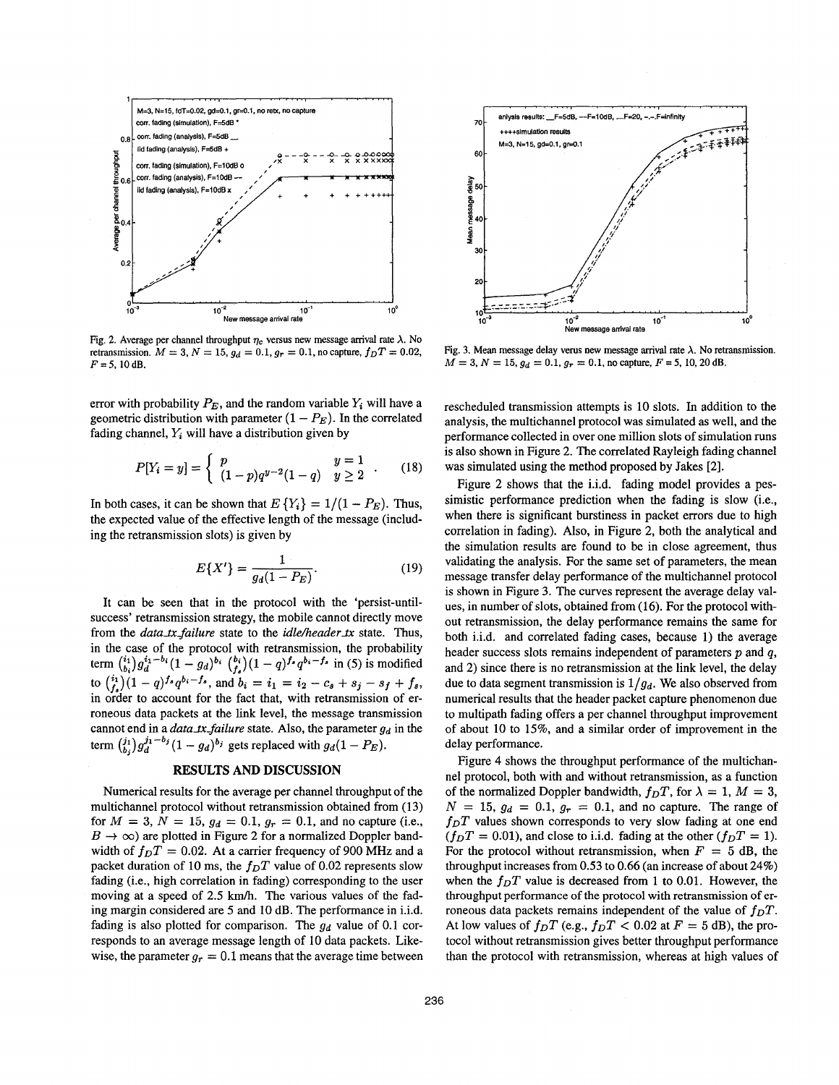

Fig. 2. Average per channel throughput  $\eta_c$  versus new message arrival rate  $\lambda$ . No retransmission.  $M = 3$ ,  $N = 15$ ,  $g_d = 0.1$ ,  $g_r = 0.1$ , no capture,  $f_pT = 0.02$ ,  $F = 5, 10$  dB.

error with probability  $P_E$ , and the random variable  $Y_i$  will have a geometric distribution with parameter  $(1 - P_E)$ . In the correlated fading channel,  $Y_i$  will have a distribution given by

$$
P[Y_i = y] = \begin{cases} p & y = 1 \\ (1-p)q^{y-2}(1-q) & y \ge 2 \end{cases} . \tag{18}
$$

In both cases, it can be shown that  $E\{Y_i\} = 1/(1 - P_E)$ . Thus, the expected value of the effective length of the message (including the retransmission slots) is given by

$$
E\{X'\} = \frac{1}{g_d(1 - P_E)}.\t(19)
$$

It can be seen that in the protocol with the 'persist-untilsuccess' retransmission strategy, the mobile cannot directly move from the *data\_tx\_failure* state to the *idle/header\_tx* state. Thus, in the case of the protocol with retransmission, the probability term  $\binom{i_1}{b_i}g_d^{i_1-b_i}(1 - g_d)^{b_i}\binom{b_i}{f_s}(1 - q)^{f_s}q^{b_i-f_s}$  in (5) is modified to  $\binom{i_1}{f}(1-q)^{f_s}q^{b_i-f_s}$ , and  $b_i = i_1 = i_2 - c_s + s_i - s_f + f_s$ , in order to account for the fact that, with retransmission of erroneous data packets at the link level, the message transmission cannot end in a *data\_tx\_failure* state. Also, the parameter  $g_d$  in the term  $(i_i)$   $g_d^{j_1-b_j}$   $(1 - g_d)^{b_j}$  gets replaced with  $g_d(1 - P_E)$ .

## **RESULTS AND DISCUSSION**

Numerical results for the average per channel throughput of the multichannel protocol without retransmission obtained from (13) for  $M = 3$ ,  $N = 15$ ,  $g_d = 0.1$ ,  $g_r = 0.1$ , and no capture (i.e.,  $B \rightarrow \infty$ ) are plotted in Figure 2 for a normalized Doppler bandwidth of  $f_D T = 0.02$ . At a carrier frequency of 900 MHz and a packet duration of 10 ms, the  $f<sub>D</sub>T$  value of 0.02 represents slow fading (i.e., high correlation in fading) corresponding to the user moving at a speed of 2.5 km/h. The various values of the fading margin considered are 5 and 10 dB. The performance in i.i.d. fading is also plotted for comparison. The  $g_d$  value of 0.1 corresponds to an average message length of 10 data packets. Likewise, the parameter  $g_r = 0.1$  means that the average time between



Fig. 3. Mean message delay verus new message arrival rate  $\lambda$ . No retransmission.  $M = 3, N = 15, g<sub>d</sub> = 0.1, g<sub>r</sub> = 0.1$ , no capture,  $F = 5, 10, 20$  dB.

rescheduled transmission attempts is 10 slots. In addition to the analysis, the multichannel protocol was simulated as well, and the performance collected in over one million slots of simulation runs is also shown in Figure 2. The correlated Rayleigh fading channel was simulated using the method proposed by Jakes [2].

Figure **2** shows that the i.i.d. fading model provides a pessimistic performance prediction when the fading is slow (i.e., when there is significant burstiness in packet errors due to high correlation in fading). **Also,** in Figure 2, both the analytical and the simulation results are found to be in close agreement, thus validating the analysis. For the same set of parameters, the mean message transfer delay performance of the multichannel protocol is shown in Figure **3.** The curves represent the average delay values, in number of slots, obtained from (16). For the protocol without retransmission, the delay performance remains the same for both i.i.d. and correlated fading cases, because 1) the average header success slots remains independent of parameters *p* and *q,*  and **2)** since there is no retransmission at the link level, the delay due to data segment transmission is  $1/g_d$ . We also observed from numerical results that the header packet capture phenomenon due to multipath fading offers a per channel throughput improvement of about 10 to 15%, and **a** similar order of improvement in the delay performance.

[Figure](#page-4-0) 4 shows the throughput performance of the multichannel protocol, both with and without retransmission, as a function of the normalized Doppler bandwidth,  $f_D T$ , for  $\lambda = 1$ ,  $M = 3$ ,  $N = 15$ ,  $g_d = 0.1$ ,  $g_r = 0.1$ , and no capture. The range of  $f<sub>D</sub>T$  values shown corresponds to very slow fading at one end  $(f<sub>D</sub>T = 0.01)$ , and close to i.i.d. fading at the other  $(f<sub>D</sub>T = 1)$ . For the protocol without retransmission, when  $F = 5$  dB, the throughput increases from 0.53 to 0.66 (an increase of about 24%) when the  $f_D T$  value is decreased from 1 to 0.01. However, the throughput performance **of** the protocol with retransmission of erroneous data packets remains independent of the value of  $f_D T$ . At low values of  $f_D T$  (e.g.,  $f_D T < 0.02$  at  $F = 5$  dB), the protocol without retransmission gives better throughput performance than the protocol with retransmission, whereas at high values of